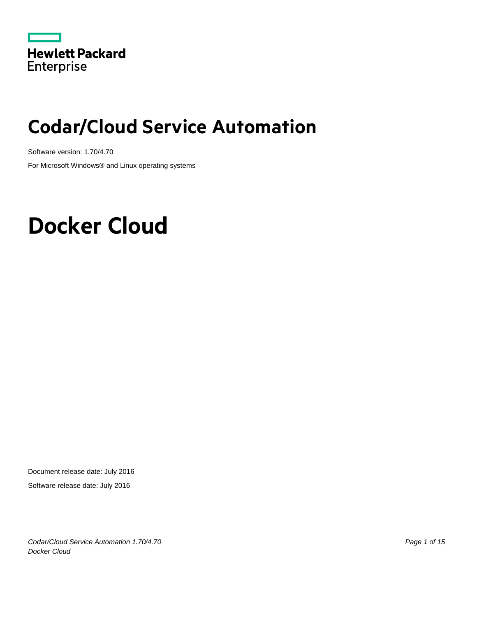

# **Codar/Cloud Service Automation**

Software version: 1.70/4.70

For Microsoft Windows® and Linux operating systems

# **Docker Cloud**

Document release date: July 2016

Software release date: July 2016

*Codar/Cloud Service Automation 1.70/4.70 Page 1 of 15 Docker Cloud*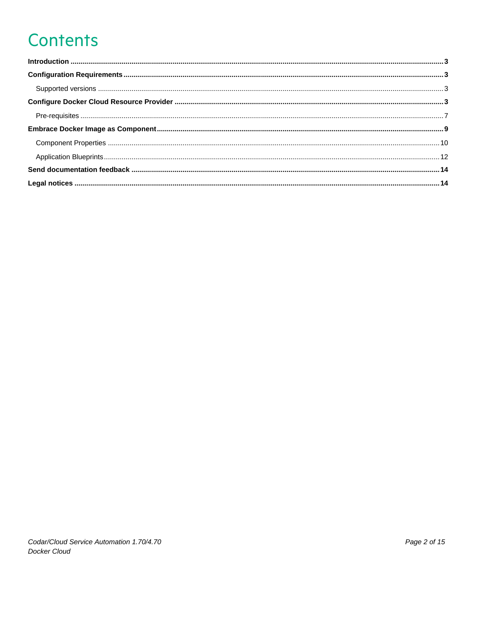# **Contents**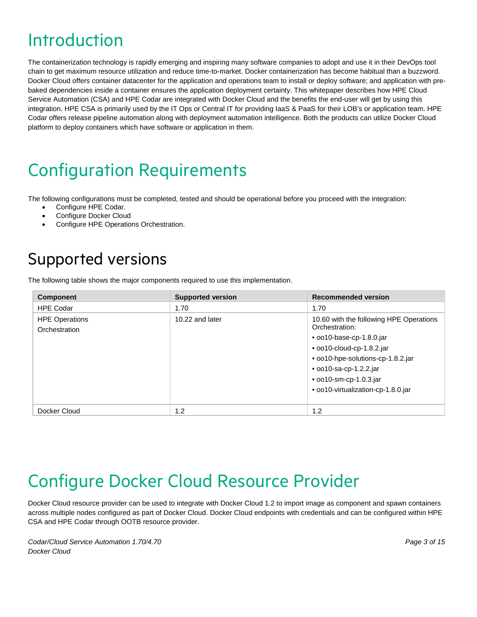## <span id="page-2-0"></span>Introduction

The containerization technology is rapidly emerging and inspiring many software companies to adopt and use it in their DevOps tool chain to get maximum resource utilization and reduce time-to-market. Docker containerization has become habitual than a buzzword. Docker Cloud offers container datacenter for the application and operations team to install or deploy software; and application with prebaked dependencies inside a container ensures the application deployment certainty. This whitepaper describes how HPE Cloud Service Automation (CSA) and HPE Codar are integrated with Docker Cloud and the benefits the end-user will get by using this integration. HPE CSA is primarily used by the IT Ops or Central IT for providing IaaS & PaaS for their LOB's or application team. HPE Codar offers release pipeline automation along with deployment automation intelligence. Both the products can utilize Docker Cloud platform to deploy containers which have software or application in them.

# <span id="page-2-1"></span>Configuration Requirements

The following configurations must be completed, tested and should be operational before you proceed with the integration:

- Configure HPE Codar.
- Configure Docker Cloud
- Configure HPE Operations Orchestration.

## <span id="page-2-2"></span>Supported versions

The following table shows the major components required to use this implementation.

| <b>Component</b>                       | <b>Supported version</b> | <b>Recommended version</b>                                |
|----------------------------------------|--------------------------|-----------------------------------------------------------|
| <b>HPE Codar</b>                       | 1.70                     | 1.70                                                      |
| <b>HPE Operations</b><br>Orchestration | 10.22 and later          | 10.60 with the following HPE Operations<br>Orchestration: |
|                                        |                          | $\bullet$ 0010-base-cp-1.8.0. jar                         |
|                                        |                          | • oo10-cloud-cp-1.8.2.jar                                 |
|                                        |                          | • oo10-hpe-solutions-cp-1.8.2.jar                         |
|                                        |                          | $\bullet$ 0010-sa-cp-1.2.2.jar                            |
|                                        |                          | • oo10-sm-cp-1.0.3.jar                                    |
|                                        |                          | • oo10-virtualization-cp-1.8.0.jar                        |
|                                        |                          |                                                           |
| Docker Cloud                           | 1.2                      | 1.2                                                       |

## <span id="page-2-3"></span>Configure Docker Cloud Resource Provider

Docker Cloud resource provider can be used to integrate with Docker Cloud 1.2 to import image as component and spawn containers across multiple nodes configured as part of Docker Cloud. Docker Cloud endpoints with credentials and can be configured within HPE CSA and HPE Codar through OOTB resource provider.

*Codar/Cloud Service Automation 1.70/4.70 Page 3 of 15 Docker Cloud*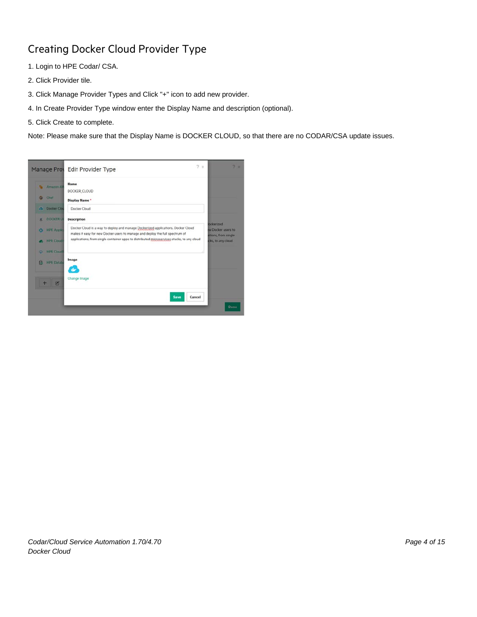### Creating Docker Cloud Provider Type

- 1. Login to HPE Codar/ CSA.
- 2. Click Provider tile.
- 3. Click Manage Provider Types and Click "+" icon to add new provider.
- 4. In Create Provider Type window enter the Display Name and description (optional).
- 5. Click Create to complete.

Note: Please make sure that the Display Name is DOCKER CLOUD, so that there are no CODAR/CSA update issues.

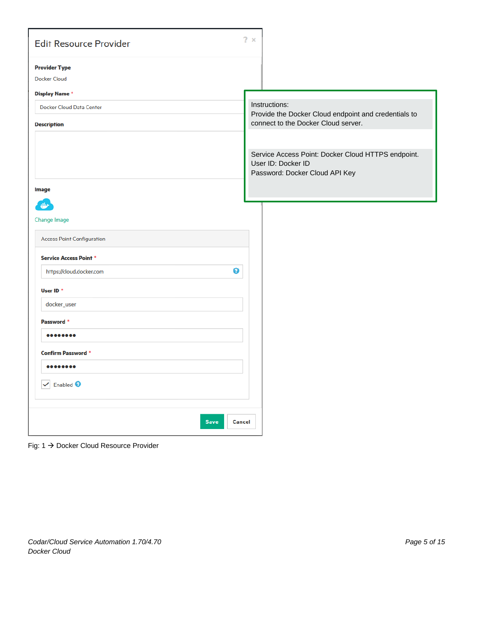| <b>Edit Resource Provider</b>                                                                                                               | $2 \times$                                                                                                   |
|---------------------------------------------------------------------------------------------------------------------------------------------|--------------------------------------------------------------------------------------------------------------|
| <b>Provider Type</b><br><b>Docker Cloud</b><br><b>Display Name*</b><br>Docker Cloud Data Center<br><b>Description</b>                       | Instructions:<br>Provide the Docker Cloud endpoint and credentials to<br>connect to the Docker Cloud server. |
| <b>Image</b>                                                                                                                                | Service Access Point: Docker Cloud HTTPS endpoint.<br>User ID: Docker ID<br>Password: Docker Cloud API Key   |
| Change Image<br><b>Access Point Configuration</b><br><b>Service Access Point *</b><br>◉<br>https://cloud.docker.com<br>User ID <sup>*</sup> |                                                                                                              |
| docker_user<br>Password <sup>*</sup><br><br><b>Confirm Password *</b><br><br>$\checkmark$ Enabled $\bullet$                                 |                                                                                                              |
| Save<br>Cancel                                                                                                                              |                                                                                                              |

Fig: 1 → Docker Cloud Resource Provider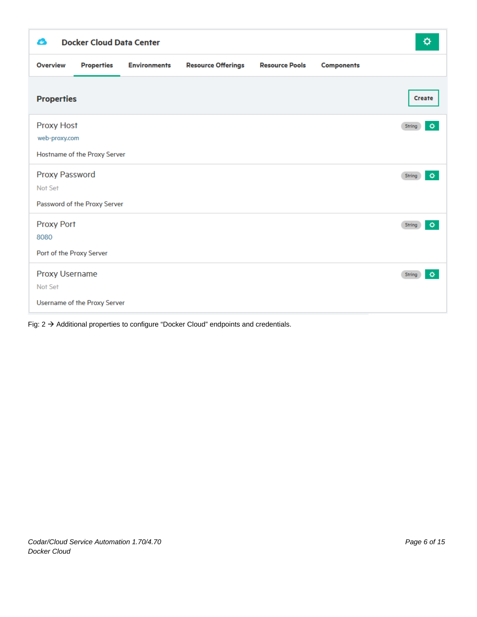| <b>Overview</b><br><b>Properties</b><br><b>Resource Offerings</b><br><b>Resource Pools</b><br><b>Environments</b><br><b>Components</b><br><b>Properties</b><br><b>Create</b><br><b>Proxy Host</b><br>String<br>web-proxy.com<br>Hostname of the Proxy Server<br>Proxy Password<br>String<br>Not Set<br>Password of the Proxy Server | ≎ |
|-------------------------------------------------------------------------------------------------------------------------------------------------------------------------------------------------------------------------------------------------------------------------------------------------------------------------------------|---|
|                                                                                                                                                                                                                                                                                                                                     |   |
|                                                                                                                                                                                                                                                                                                                                     |   |
|                                                                                                                                                                                                                                                                                                                                     | ۰ |
|                                                                                                                                                                                                                                                                                                                                     | ⋄ |
| <b>Proxy Port</b><br>String<br>8080<br>Port of the Proxy Server                                                                                                                                                                                                                                                                     | ۰ |
| Proxy Username<br>String<br>Not Set<br>Username of the Proxy Server                                                                                                                                                                                                                                                                 | ۰ |

Fig:  $2 \rightarrow$  Additional properties to configure "Docker Cloud" endpoints and credentials.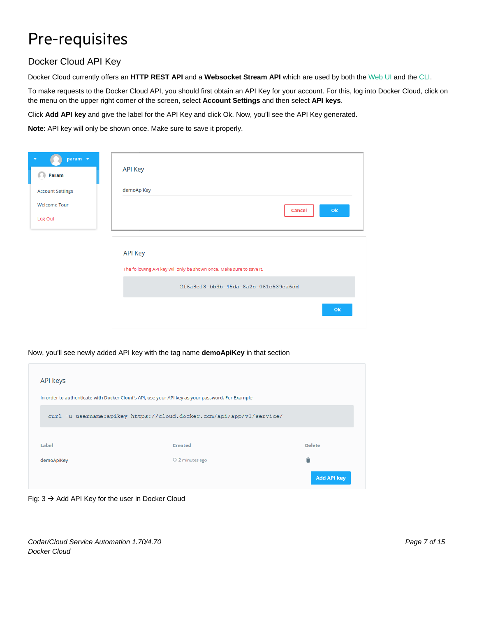## <span id="page-6-0"></span>Pre-requisites

#### Docker Cloud API Key

Docker Cloud currently offers an **HTTP REST API** and a **Websocket Stream API** which are used by both the [Web UI](https://cloud.docker.com/) and the [CLI.](https://github.com/docker/dockercloud-cli)

To make requests to the Docker Cloud API, you should first obtain an API Key for your account. For this, log into Docker Cloud, click on the menu on the upper right corner of the screen, select **Account Settings** and then select **API keys**.

Click **Add API key** and give the label for the API Key and click Ok. Now, you'll see the API Key generated.

**Note**: API key will only be shown once. Make sure to save it properly.

| param v<br>Param               | <b>API Key</b>                                                                         |
|--------------------------------|----------------------------------------------------------------------------------------|
| <b>Account Settings</b>        | demoApiKey                                                                             |
| <b>Welcome Tour</b><br>Log Out | O <sub>k</sub><br><b>Cancel</b>                                                        |
|                                | <b>API Key</b><br>The following API key will only be shown once. Make sure to save it. |
|                                | 2f6a8ef8-bb3b-45da-8a2c-061e539ea6dd                                                   |
|                                | Ok                                                                                     |

#### Now, you'll see newly added API key with the tag name **demoApiKey** in that section

| <b>API keys</b>                                                                                   |                                                                      |                    |  |  |
|---------------------------------------------------------------------------------------------------|----------------------------------------------------------------------|--------------------|--|--|
| In order to authenticate with Docker Cloud's API, use your API key as your password. For Example: |                                                                      |                    |  |  |
|                                                                                                   | curl -u username:apikey https://cloud.docker.com/api/app/v1/service/ |                    |  |  |
| Label                                                                                             | <b>Created</b>                                                       | <b>Delete</b>      |  |  |
| demoApiKey                                                                                        | © 2 minutes ago                                                      | Ĥ                  |  |  |
|                                                                                                   |                                                                      | <b>Add API key</b> |  |  |

Fig:  $3 \rightarrow$  Add API Key for the user in Docker Cloud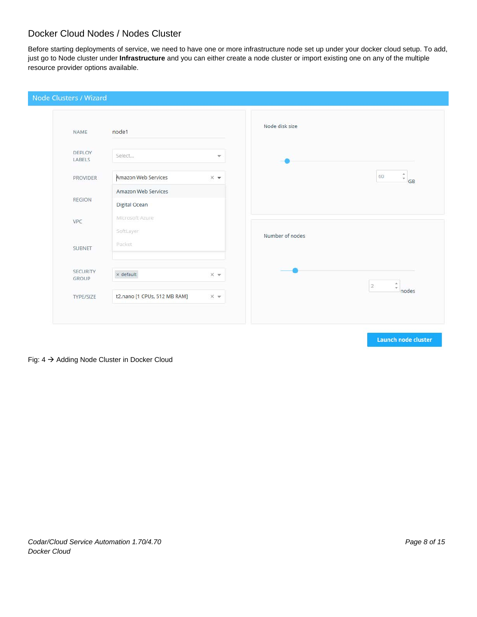#### Docker Cloud Nodes / Nodes Cluster

Before starting deployments of service, we need to have one or more infrastructure node set up under your docker cloud setup. To add, just go to Node cluster under **Infrastructure** and you can either create a node cluster or import existing one on any of the multiple resource provider options available.

| NAME              | node1                        |                  | Node disk size  |                                         |
|-------------------|------------------------------|------------------|-----------------|-----------------------------------------|
| DEPLOY<br>LABELS  | Select                       | v                |                 |                                         |
| <b>PROVIDER</b>   | Amazon Web Services          | $\times$ $\star$ |                 | 60<br>GB                                |
| <b>REGION</b>     | Amazon Web Services          |                  |                 |                                         |
|                   | Digital Ocean                |                  |                 |                                         |
| VPC               | Microsoft Azure              |                  |                 |                                         |
|                   | SoftLayer                    |                  | Number of nodes |                                         |
| <b>SUBNET</b>     | Packet                       |                  |                 |                                         |
| SECURITY<br>GROUP | $\times$ default             | $\times$ $\star$ |                 |                                         |
| TYPE/SIZE         | t2.nano [1 CPUs, 512 MB RAM] | $\times$ $\star$ |                 | $\overline{2}$<br>$\mathbf{v}$<br>nodes |

Fig: 4 Adding Node Cluster in Docker Cloud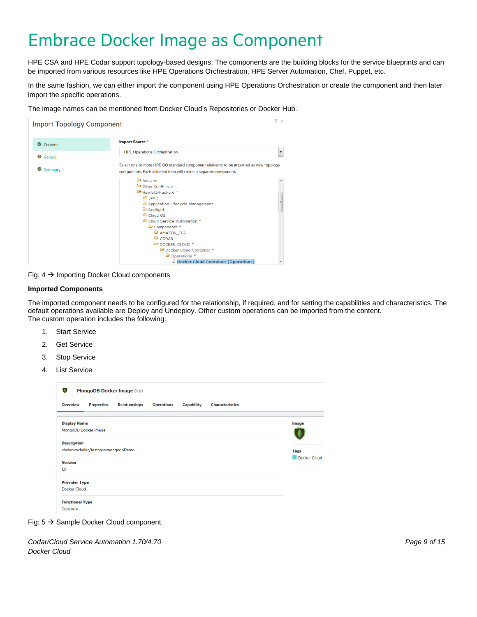## <span id="page-8-0"></span>Embrace Docker Image as Component

HPE CSA and HPE Codar support topology-based designs. The components are the building blocks for the service blueprints and can be imported from various resources like HPE Operations Orchestration, HPE Server Automation, Chef, Puppet, etc.

In the same fashion, we can either import the component using HPE Operations Orchestration or create the component and then later import the specific operations.

The image names can be mentioned from Docker Cloud's Repositories or Docker Hub.



Fig:  $4 \rightarrow$  Importing Docker Cloud components

#### **Imported Components**

The imported component needs to be configured for the relationship, if required, and for setting the capabilities and characteristics. The default operations available are Deploy and Undeploy. Other custom operations can be imported from the content. The custom operation includes the following:

- 1. Start Service
- 2. Get Service
- 3. Stop Service
- 4. List Service

| $\mathbf 0$                                 |                                     | MongoDB Docker Image (1.0) |                   |                   |                        |              |
|---------------------------------------------|-------------------------------------|----------------------------|-------------------|-------------------|------------------------|--------------|
| <b>Overview</b>                             | <b>Properties</b>                   | <b>Relationships</b>       | <b>Operations</b> | <b>Capability</b> | <b>Characteristics</b> |              |
| <b>Display Name</b>                         | MongoDB Docker Image                |                            |                   |                   |                        | <b>Image</b> |
| <b>Description</b>                          | vladanvachalec/testrepo:mongodbDemo |                            |                   |                   |                        | <b>Tags</b>  |
| <b>Version</b><br>1.0                       |                                     |                            |                   |                   |                        | Docker Cloud |
| <b>Provider Type</b><br><b>Docker Cloud</b> |                                     |                            |                   |                   |                        |              |
| <b>Functional Type</b><br>Concrete          |                                     |                            |                   |                   |                        |              |

Fig:  $5 \rightarrow$  Sample Docker Cloud component

*Codar/Cloud Service Automation 1.70/4.70 Page 9 of 15 Docker Cloud*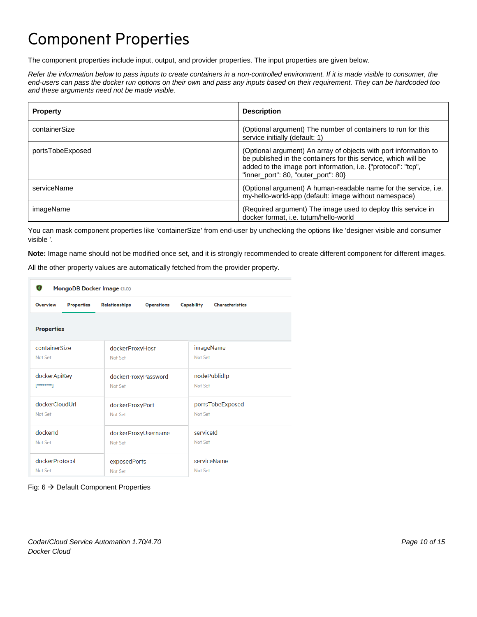## <span id="page-9-0"></span>Component Properties

The component properties include input, output, and provider properties. The input properties are given below.

*Refer the information below to pass inputs to create containers in a non-controlled environment. If it is made visible to consumer, the end-users can pass the docker run options on their own and pass any inputs based on their requirement. They can be hardcoded too and these arguments need not be made visible.*

| <b>Property</b>  | <b>Description</b>                                                                                                                                                                                                                         |
|------------------|--------------------------------------------------------------------------------------------------------------------------------------------------------------------------------------------------------------------------------------------|
| containerSize    | (Optional argument) The number of containers to run for this<br>service initially (default: 1)                                                                                                                                             |
| portsTobeExposed | (Optional argument) An array of objects with port information to<br>be published in the containers for this service, which will be<br>added to the image port information, i.e. {"protocol": "tcp",<br>"inner_port": 80, "outer_port": 80} |
| serviceName      | (Optional argument) A human-readable name for the service, i.e.<br>my-hello-world-app (default: image without namespace)                                                                                                                   |
| imageName        | (Required argument) The image used to deploy this service in<br>docker format, i.e. tutum/hello-world                                                                                                                                      |

You can mask component properties like 'containerSize' from end-user by unchecking the options like 'designer visible and consumer visible '.

**Note:** Image name should not be modified once set, and it is strongly recommended to create different component for different images.

All the other property values are automatically fetched from the provider property.

| О<br>MongoDB Docker Image (1.0) |                                                        |                        |  |  |  |  |  |
|---------------------------------|--------------------------------------------------------|------------------------|--|--|--|--|--|
| <b>Overview</b>                 | <b>Relationships</b>                                   | <b>Capability</b>      |  |  |  |  |  |
| <b>Properties</b>               | <b>Operations</b>                                      | <b>Characteristics</b> |  |  |  |  |  |
| <b>Properties</b>               |                                                        |                        |  |  |  |  |  |
| containerSize                   | dockerProxyHost                                        | imageName              |  |  |  |  |  |
| Not Set                         | Not Set                                                | Not Set                |  |  |  |  |  |
| dockerApiKey                    | dockerProxyPassword                                    | nodePublidIp           |  |  |  |  |  |
| [*******]                       | Not Set                                                | Not Set                |  |  |  |  |  |
| dockerCloudUrl                  | dockerProxyPort                                        | portsTobeExposed       |  |  |  |  |  |
| Not Set                         | Not Set                                                | Not Set                |  |  |  |  |  |
| dockerld<br>Not Set             | serviceld<br>dockerProxyUsername<br>Not Set<br>Not Set |                        |  |  |  |  |  |
| dockerProtocol                  | exposedPorts                                           | serviceName            |  |  |  |  |  |
| Not Set                         | Not Set                                                | Not Set                |  |  |  |  |  |

#### Fig:  $6 \rightarrow$  Default Component Properties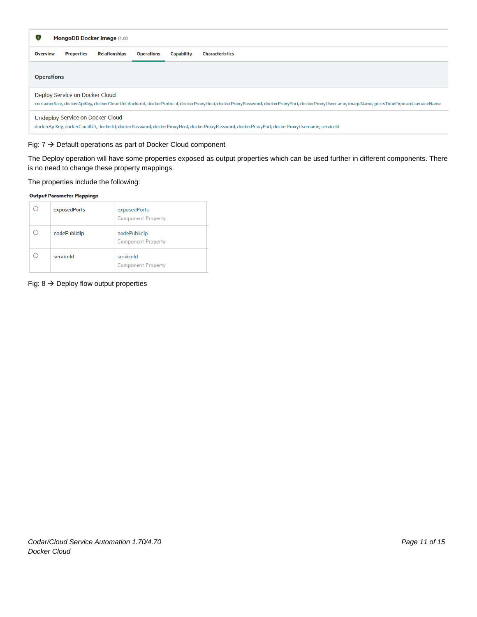| O<br><b>MongoDB Docker Image (1.0)</b>                                                                                                                                                                                        |                   |                      |                   |            |                        |
|-------------------------------------------------------------------------------------------------------------------------------------------------------------------------------------------------------------------------------|-------------------|----------------------|-------------------|------------|------------------------|
| <b>Overview</b>                                                                                                                                                                                                               | <b>Properties</b> | <b>Relationships</b> | <b>Operations</b> | Capability | <b>Characteristics</b> |
| <b>Operations</b>                                                                                                                                                                                                             |                   |                      |                   |            |                        |
| Deploy Service on Docker Cloud<br>containerSize, dockerApiKey, dockerCloudUrl, dockerId, dockerProtocol, dockerProxyHost, dockerProxyPassword, dockerProxyPort, dockerProxyUsername, imageName, portsTobeExposed, serviceName |                   |                      |                   |            |                        |
| <b>Undeploy Service on Docker Cloud</b><br>dockerApiKey, dockerCloudUrl, dockerId, dockerPassword, dockerProxyHost, dockerProxyPassword, dockerProxyPort, dockerProxyUsername, serviceId                                      |                   |                      |                   |            |                        |

#### Fig:  $7 \rightarrow$  Default operations as part of Docker Cloud component

The Deploy operation will have some properties exposed as output properties which can be used further in different components. There is no need to change these property mappings.

The properties include the following:

#### **Output Parameter Mappings**

| exposedPorts | exposedPorts<br><b>Component Property</b> |
|--------------|-------------------------------------------|
| nodePublidlp | nodePublidlp<br><b>Component Property</b> |
| serviceld    | serviceld<br><b>Component Property</b>    |

Fig:  $8 \rightarrow$  Deploy flow output properties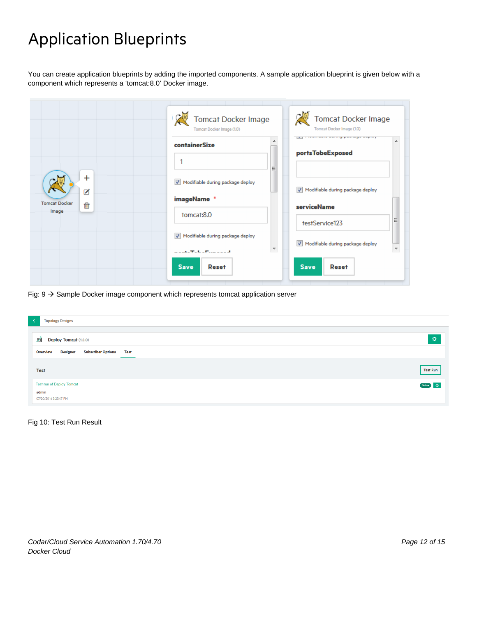## <span id="page-11-0"></span>Application Blueprints

You can create application blueprints by adding the imported components. A sample application blueprint is given below with a component which represents a 'tomcat:8.0' Docker image.

| Tomcat Docker Image<br>Tomcat Docker Image (1.0)    |                                                                                                | <b>Tomcat Docker Image</b><br>Tomcat Docker Image (1.0) |
|-----------------------------------------------------|------------------------------------------------------------------------------------------------|---------------------------------------------------------|
|                                                     | ▲<br>containerSize                                                                             | portsTobeExposed                                        |
| $\ddot{}$<br><br><b>Tomcat Docker</b><br>霝<br>Image | Ξ                                                                                              |                                                         |
|                                                     | Modifiable during package deploy<br>$\overline{\mathcal{F}}$                                   | Modifiable during package deploy                        |
|                                                     | imageName *                                                                                    | <b>serviceName</b>                                      |
|                                                     | tomcat:8.0                                                                                     | 릐<br>testService123                                     |
|                                                     | Modifiable during package deploy<br>$\overline{J}$                                             | M Modifiable during package deploy                      |
|                                                     | $\overline{\phantom{a}}$<br>an an an a-mhair ann an a-mhair an a-mhair<br><b>Save</b><br>Reset | <b>Save</b><br>Reset                                    |

Fig:  $9 \rightarrow$  Sample Docker image component which represents tomcat application server

| $\overline{\mathcal{L}}$<br><b>Topology Designs</b>                                                          |                 |
|--------------------------------------------------------------------------------------------------------------|-----------------|
| 國<br>Deploy Tomcat (1.0.0)<br><b>Designer</b><br><b>Subscriber Options</b><br><b>Overview</b><br><b>Test</b> | O.              |
| <b>Test</b>                                                                                                  | <b>Test Run</b> |
| <b>Test run of Deploy Tomcat</b>                                                                             | Online Q        |
| admin<br>07/20/2016 5:23:47 PM                                                                               |                 |

#### Fig 10: Test Run Result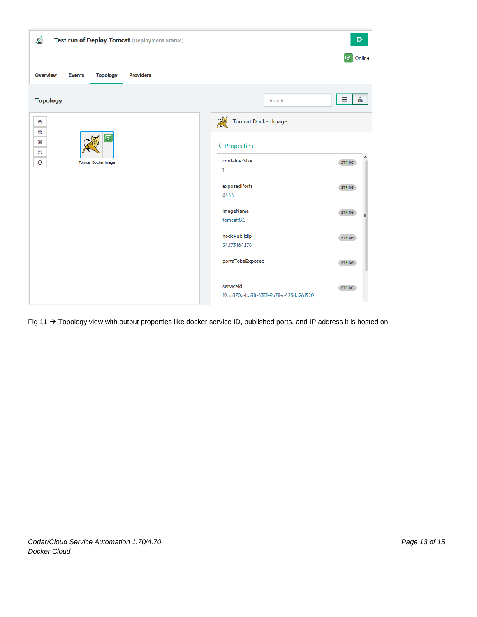| Ø<br>۰<br>Test run of Deploy Tomcat (Deployment Status)                                       |                                                                                                |  |
|-----------------------------------------------------------------------------------------------|------------------------------------------------------------------------------------------------|--|
|                                                                                               | $\vert \mathcal{D} \vert$<br>Online                                                            |  |
| <b>Overview</b><br><b>Topology</b><br><b>Providers</b><br><b>Events</b>                       |                                                                                                |  |
| <b>Topology</b>                                                                               | Ξ<br>ងូ <sub>វិ</sub><br>Search                                                                |  |
| $\mathbf{\Theta}$<br>$\mathbf{\mathsf{Q}}$<br>Y<br>景<br>55<br>O<br><b>Tomcat Docker Image</b> | <b>Tomcat Docker Image</b><br>处<br>« Properties<br>▲<br>containerSize<br><b>STRING</b><br>1    |  |
|                                                                                               | exposedPorts<br><b>STRING</b><br>8444<br>imageName<br><b>STRING</b><br>릐<br>tomcat:8.0         |  |
|                                                                                               | nodePublidlp<br><b>STRING</b><br>54.173.164.178                                                |  |
|                                                                                               | portsTobeExposed<br><b>STRING</b>                                                              |  |
|                                                                                               | serviceld<br><b>STRING</b><br>f9ad870a-ba38-43f3-9a78-e425da261520<br>$\overline{\phantom{a}}$ |  |

Fig 11  $\rightarrow$  Topology view with output properties like docker service ID, published ports, and IP address it is hosted on.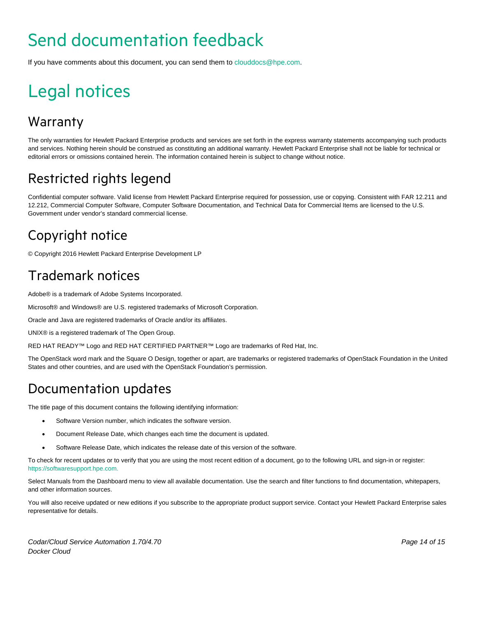# <span id="page-13-0"></span>Send documentation feedback

If you have comments about this document, you can send them to [clouddocs@hpe.com.](mailto:clouddocs@hpe.com)

# <span id="page-13-1"></span>Legal notices

### **Warranty**

The only warranties for Hewlett Packard Enterprise products and services are set forth in the express warranty statements accompanying such products and services. Nothing herein should be construed as constituting an additional warranty. Hewlett Packard Enterprise shall not be liable for technical or editorial errors or omissions contained herein. The information contained herein is subject to change without notice.

### Restricted rights legend

Confidential computer software. Valid license from Hewlett Packard Enterprise required for possession, use or copying. Consistent with FAR 12.211 and 12.212, Commercial Computer Software, Computer Software Documentation, and Technical Data for Commercial Items are licensed to the U.S. Government under vendor's standard commercial license.

### Copyright notice

© Copyright 2016 Hewlett Packard Enterprise Development LP

### Trademark notices

Adobe® is a trademark of Adobe Systems Incorporated.

Microsoft® and Windows® are U.S. registered trademarks of Microsoft Corporation.

Oracle and Java are registered trademarks of Oracle and/or its affiliates.

UNIX® is a registered trademark of The Open Group.

RED HAT READY™ Logo and RED HAT CERTIFIED PARTNER™ Logo are trademarks of Red Hat, Inc.

The OpenStack word mark and the Square O Design, together or apart, are trademarks or registered trademarks of OpenStack Foundation in the United States and other countries, and are used with the OpenStack Foundation's permission.

### Documentation updates

The title page of this document contains the following identifying information:

- Software Version number, which indicates the software version.
- Document Release Date, which changes each time the document is updated.
- Software Release Date, which indicates the release date of this version of the software.

To check for recent updates or to verify that you are using the most recent edition of a document, go to the following URL and sign-in or register: [https://softwaresupport.hpe.com.](https://softwaresupport.hpe.com./)

Select Manuals from the Dashboard menu to view all available documentation. Use the search and filter functions to find documentation, whitepapers, and other information sources.

You will also receive updated or new editions if you subscribe to the appropriate product support service. Contact your Hewlett Packard Enterprise sales representative for details.

*Codar/Cloud Service Automation 1.70/4.70 Page 14 of 15 Docker Cloud*